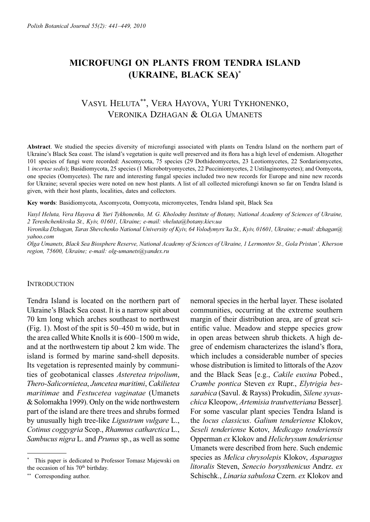# **MICROFUNGI ON PLANTS FROM TENDRA ISLAND (UKRAINE, BLACK SEA)**\*

# VASYL HELUTA\*\*, VERA HAYOVA, YURI TYKHONENKO, VERONIKA DZHAGAN & OLGA UMANETS

**Abstract**. We studied the species diversity of microfungi associated with plants on Tendra Island on the northern part of Ukraine's Black Sea coast. The island's vegetation is quite well preserved and its flora has a high level of endemism. Altogether 101 species of fungi were recorded: Ascomycota, 75 species (29 Dothideomycetes, 23 Leotiomycetes, 22 Sordariomycetes, 1 *incertae sedis*); Basidiomycota, 25 species (1 Microbotryomycetes, 22 Pucciniomycetes, 2 Ustilaginomycetes); and Oomycota, one species (Oomycetes). The rare and interesting fungal species included two new records for Europe and nine new records for Ukraine; several species were noted on new host plants. A list of all collected microfungi known so far on Tendra Island is given, with their host plants, localities, dates and collectors.

**Key words**: Basidiomycota, Ascomycota, Oomycota, micromycetes, Tendra Island spit, Black Sea

*Vasyl Heluta, Vera Hayova & Yuri Tykhonenko, M. G. Kholodny Institute of Botany, National Academy of Sciences of Ukraine, 2 Tereshchenkivska St., Kyiv, 01601, Ukraine; e-mail: vheluta@botany.kiev.ua*

*Veronika Dzhagan, Taras Shevchenko National University of Kyiv, 64 Volodymyrs'ka St., Kyiv, 01601, Ukraine; e-mail: dzhagan@ yahoo.com*

*Olga Umanets, Black Sea Biosphere Reserve, National Academy of Sciences of Ukraine, 1 Lermontov St., Gola Pristan', Kherson region, 75600, Ukraine; e-mail: olg-umanets@yandex.ru*

## **INTRODUCTION**

Tendra Island is located on the northern part of Ukraine's Black Sea coast. It is a narrow spit about 70 km long which arches southeast to northwest (Fig. 1). Most of the spit is 50–450 m wide, but in the area called White Knolls it is 600–1500 m wide, and at the northwestern tip about 2 km wide. The island is formed by marine sand-shell deposits. Its vegetation is represented mainly by communities of geobotanical classes *Asteretea tripolium*, *Thero-Salicornietea*, *Juncetea maritimi*, *Cakilietea maritimae* and *Festucetea vaginatae* (Umanets & Solomakha 1999). Only on the wide northwestern part of the island are there trees and shrubs formed by unusually high tree-like *Ligustrum vulgare* L., *Cotinus coggygria* Scop., *Rhamnus catharctica* L., *Sambucus nigra* L. and *Prunus* sp., as well as some

nemoral species in the herbal layer. These isolated communities, occurring at the extreme southern margin of their distribution area, are of great scientific value. Meadow and steppe species grow in open areas between shrub thickets. A high degree of endemism characterizes the island's flora, which includes a considerable number of species whose distribution is limited to littorals of the Azov and the Black Seas [e.g., *Cakile euxina* Pobed., *Crambe pontica* Steven *ex* Rupr., *Elytrigia bessarabica* (Savul. & Rayss) Prokudin, *Silene syvaschica* Kleopow, *Artemisia trautvetteriana* Besser]. For some vascular plant species Tendra Island is the *locus classicus*. *Galium tenderiense* Klokov, *Seseli tenderiense* Kotov, *Medicago tenderiensis* Opperman *ex* Klokov and *Helichrysum tenderiense* Umanets were described from here. Such endemic species as *Melica chrysolepis* Klokov, *Asparagus litoralis* Steven, *Senecio borysthenicus* Andrz. *ex* Schischk., *Linaria sabulosa* Czern. *ex* Klokov and

<sup>\*</sup> This paper is dedicated to Professor Tomasz Majewski on the occasion of his 70<sup>th</sup> birthday.

<sup>\*\*</sup> Corresponding author.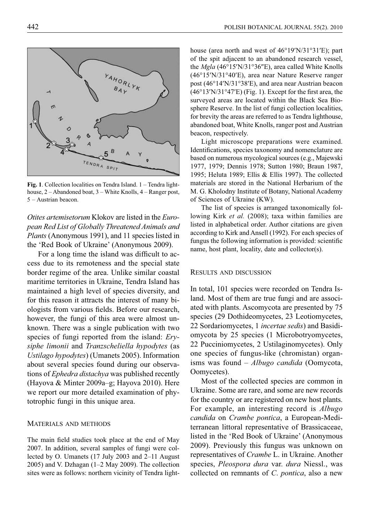**YAHORLYK** TENDRA SPIT

**Fig. 1**. Collection localities on Tendra Island. 1 – Tendra lighthouse, 2 – Abandoned boat, 3 – White Knolls, 4 – Ranger post, 5 – Austrian beacon.

*Otites artemisetorum* Klokov are listed in the *European Red List of Globally Threatened Animals and Plants* (Anonymous 1991), and 11 species listed in the 'Red Book of Ukraine' (Anonymous 2009).

For a long time the island was difficult to access due to its remoteness and the special state border regime of the area. Unlike similar coastal maritime territories in Ukraine, Tendra Island has maintained a high level of species diversity, and for this reason it attracts the interest of many biologists from various fields. Before our research, however, the fungi of this area were almost unknown. There was a single publication with two species of fungi reported from the island: *Erysiphe limonii* and *Tranzscheliella hypodytes* (as *Ustilago hypodytes*) (Umanets 2005). Information about several species found during our observations of *Ephedra distachya* was published recently (Hayova & Minter 2009a–g; Hayova 2010). Here we report our more detailed examination of phytotrophic fungi in this unique area.

### MATERIALS AND METHODS

The main field studies took place at the end of May 2007. In addition, several samples of fungi were collected by O. Umanets (17 July 2003 and 2–11 August 2005) and V. Dzhagan (1–2 May 2009). The collection sites were as follows: northern vicinity of Tendra lighthouse (area north and west of 46°19′N/31°31′E); part of the spit adjacent to an abandoned research vessel, the *Mgla* (46°15′N/31°36″E), area called White Knolls (46°15′N/31°40′E), area near Nature Reserve ranger post (46°14′N/31°38′E), and area near Austrian beacon  $(46°13'N/31°47'E)$  (Fig. 1). Except for the first area, the surveyed areas are located within the Black Sea Biosphere Reserve. In the list of fungi collection localities, for brevity the areas are referred to as Tendra lighthouse, abandoned boat, White Knolls, ranger post and Austrian beacon, respectively.

Light microscope preparations were examined. Identifications, species taxonomy and nomenclature are based on numerous mycological sources (e.g., Majewski 1977, 1979; Dennis 1978; Sutton 1980; Braun 1987, 1995; Heluta 1989; Ellis & Ellis 1997). The collected materials are stored in the National Herbarium of the M. G. Kholodny Institute of Botany, National Academy of Sciences of Ukraine (KW).

The list of species is arranged taxonomically following Kirk *et al.* (2008); taxa within families are listed in alphabetical order. Author citations are given according to Kirk and Ansell (1992). For each species of fungus the following information is provided: scientific name, host plant, locality, date and collector(s).

### RESULTS AND DISCUSSION

In total, 101 species were recorded on Tendra Island. Most of them are true fungi and are associated with plants. Ascomycota are presented by 75 species (29 Dothideomycetes, 23 Leotiomycetes, 22 Sordariomycetes, 1 *incertae sedis*) and Basidiomycota by 25 species (1 Microbotryomycetes, 22 Pucciniomycetes, 2 Ustilaginomycetes). Only one species of fungus-like (chromistan) organisms was found – *Albugo candida* (Oomycota, Oomycetes).

Most of the collected species are common in Ukraine. Some are rare, and some are new records for the country or are registered on new host plants. For example, an interesting record is *Albugo candida* on *Crambe pontica*, a European-Mediterranean littoral representative of Brassicaceae, listed in the 'Red Book of Ukraine' (Anonymous 2009). Previously this fungus was unknown on representatives of *Crambe* L. in Ukraine. Another species, *Pleospora dura* var. *dura* Niessl., was collected on remnants of *C*. *pontica*, also a new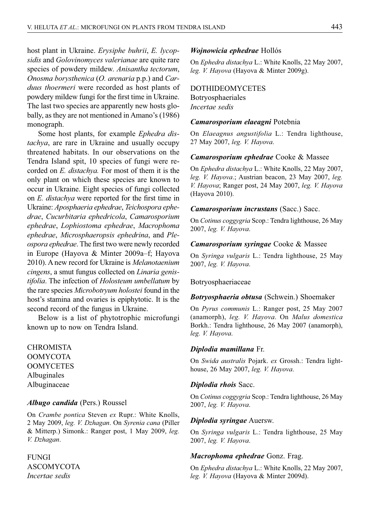host plant in Ukraine. *Erysiphe buhrii*, *E. lycopsidis* and *Golovinomyces valerianae* are quite rare species of powdery mildew. *Anisantha tectorum*, *Onosma borysthenica* (*O. arenaria* p.p.) and *Carduus thoermeri* were recorded as host plants of powdery mildew fungi for the first time in Ukraine. The last two species are apparently new hosts globally, as they are not mentioned in Amano's (1986) monograph.

Some host plants, for example *Ephedra distachya*, are rare in Ukraine and usually occupy threatened habitats. In our observations on the Tendra Island spit, 10 species of fungi were recorded on *E. distachya.* For most of them it is the only plant on which these species are known to occur in Ukraine. Eight species of fungi collected on *E. distachya* were reported for the first time in Ukraine: *Aposphaeria ephedrae*, *Teichospora ephedrae*, *Cucurbitaria ephedricola*, *Camarosporium ephedrae*, *Lophiostoma ephedrae*, *Macrophoma ephedrae*, *Microsphaeropsis ephedrina*, and *Pleospora ephedrae*. The first two were newly recorded in Europe (Hayova & Minter 2009a–f; Hayova 2010). A new record for Ukraine is *Melanotaenium cingens*, a smut fungus collected on *Linaria genistifolia*. The infection of *Holosteum umbellatum* by the rare species *Microbotryum holostei* found in the host's stamina and ovaries is epiphytotic. It is the second record of the fungus in Ukraine.

Below is a list of phytotrophic microfungi known up to now on Tendra Island.

CHROMISTA OOMYCOTA **OOMYCETES** Albuginales Albuginaceae

### *Albugo candida* (Pers.) Roussel

On *Crambe pontica* Steven *ex* Rupr.: White Knolls, 2 May 2009, *leg. V. Dzhagan*. On *Syrenia cana* (Piller & Mitterp.) Simonk.: Ranger post, 1 May 2009, *leg. V. Dzhagan*.

FUNGI ASCOMYCOTA *Incertae sedis*

### *Wojnowicia ephedrae* Hollós

On *Ephedra distachya* L.: White Knolls, 22 May 2007, *leg. V. Hayova* (Hayova & Minter 2009g).

## DOTHIDEOMYCETES

Botryosphaeriales *Incertae sedis*

### *Camarosporium elaeagni* Potebnia

On *Elaeagnus angustifolia* L.: Tendra lighthouse, 27 May 2007, *leg. V. Hayova*.

### *Camarosporium ephedrae* Cooke & Massee

On *Ephedra distachya* L.: White Knolls, 22 May 2007, *leg. V. Hayova*.; Austrian beacon, 23 May 2007, *leg. V. Hayova*; Ranger post, 24 May 2007, *leg. V. Hayova* (Hayova 2010).

### *Camarosporium incrustans* (Sacc.) Sacc.

On *Cotinus coggygria* Scop.: Tendra lighthouse, 26 May 2007, *leg. V. Hayova*.

## *Camarosporium syringae* Cooke & Massee

On *Syringa vulgaris* L.: Tendra lighthouse, 25 May 2007, *leg. V. Hayova*.

### Botryosphaeriaceae

#### *Botryosphaeria obtusa* (Schwein.) Shoemaker

On *Pyrus communis* L.: Ranger post, 25 May 2007 (anamorph), *leg. V. Hayova*. On *Malus domestica* Borkh.: Tendra lighthouse, 26 May 2007 (anamorph), *leg. V. Hayova*.

### *Diplodia mamillana* Fr.

On *Swida australis* Pojark. *ex* Grossh.: Tendra lighthouse, 26 May 2007, *leg. V. Hayova*.

### *Diplodia rhois* Sacc.

On *Cotinus coggygria* Scop.: Tendra lighthouse, 26 May 2007, *leg. V. Hayova*.

#### *Diplodia syringae* Auersw.

On *Syringa vulgaris* L.: Tendra lighthouse, 25 May 2007, *leg. V. Hayova*.

### *Macrophoma ephedrae* Gonz. Frag.

On *Ephedra distachya* L.: White Knolls, 22 May 2007, *leg. V. Hayova* (Hayova & Minter 2009d).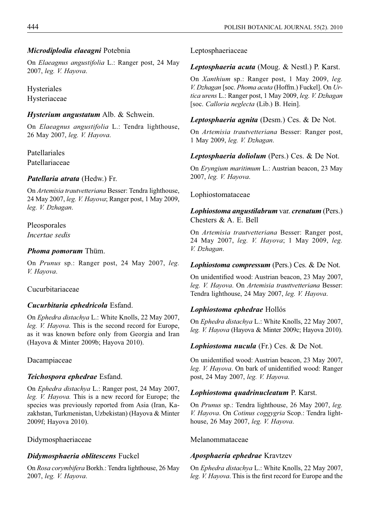# *Microdiplodia elaeagni* Potebnia

On *Elaeagnus angustifolia* L.: Ranger post, 24 May 2007, *leg. V. Hayova*.

Hysteriales Hysteriaceae

# *Hysterium angustatum* Alb. & Schwein.

On *Elaeagnus angustifolia* L.: Tendra lighthouse, 26 May 2007, *leg. V. Hayova*.

Patellariales Patellariaceae

# *Patellaria atrata* (Hedw.) Fr.

On *Artemisia trautvetteriana* Besser: Tendra lighthouse, 24 May 2007, *leg. V. Hayova*; Ranger post, 1 May 2009, *leg. V. Dzhagan*.

Pleosporales *Incertae sedis*

# *Phoma pomorum* Thüm.

On *Prunus* sp.: Ranger post, 24 May 2007, *leg. V. Hayova*.

# Cucurbitariaceae

# *Cucurbitaria ephedricola* Esfand.

On *Ephedra distachya* L.: White Knolls, 22 May 2007, *leg. V. Hayova*. This is the second record for Europe, as it was known before only from Georgia and Iran (Hayova & Minter 2009b; Hayova 2010).

# Dacampiaceae

# *Teichospora ephedrae* Esfand.

On *Ephedra distachya* L.: Ranger post, 24 May 2007, *leg. V. Hayova.* This is a new record for Europe; the species was previously reported from Asia (Iran, Kazakhstan, Turkmenistan, Uzbekistan) (Hayova & Minter 2009f; Hayova 2010).

# Didymosphaeriaceae

# *Didymosphaeria oblitescens* Fuckel

On *Rosa corymbifera* Borkh.: Tendra lighthouse, 26 May 2007, *leg. V. Hayova*.

Leptosphaeriaceae

# *Leptosphaeria acuta* (Moug. & Nestl.) P. Karst.

On *Xanthium* sp.: Ranger post, 1 May 2009, *leg. V. Dzhagan* [soc. *Phoma acuta* (Hoffm.) Fuckel]. On *Urtica urens* L.: Ranger post, 1 May 2009, *leg. V. Dzhagan* [soc. *Calloria neglecta* (Lib.) B. Hein].

# *Leptosphaeria agnita* (Desm.) Ces. & De Not.

On *Artemisia trautvetteriana* Besser: Ranger post, 1 May 2009, *leg. V. Dzhagan*.

# *Leptosphaeria doliolum* (Pers.) Ces. & De Not.

On *Eryngium maritimum* L.: Austrian beacon, 23 May 2007, *leg. V. Hayova*.

# Lophiostomataceae

*Lophiostoma angustilabrum* var. *crenatum* (Pers.) Chesters & A. E. Bell

On *Artemisia trautvetteriana* Besser: Ranger post, 24 May 2007, *leg. V. Hayova*; 1 May 2009, *leg. V. Dzhagan*.

# *Lophiostoma compressum* (Pers.) Ces. & De Not.

On unidentified wood: Austrian beacon, 23 May 2007, *leg. V. Hayova*. On *Artemisia trauttvetteriana* Besser: Tendra lighthouse, 24 May 2007, *leg. V. Hayova*.

# *Lophiostoma ephedrae* Hollós

On *Ephedra distachya* L.: White Knolls, 22 May 2007, *leg. V. Hayova* (Hayova & Minter 2009c; Hayova 2010).

# *Lophiostoma nucula* (Fr.) Ces. & De Not.

On unidentified wood: Austrian beacon, 23 May 2007, *leg. V. Hayova.* On bark of unidentified wood: Ranger post, 24 May 2007, *leg. V. Hayova*.

# *Lophiostoma quadrinucleatum* P. Karst.

On *Prunus* sp.: Tendra lighthouse, 26 May 2007, *leg. V. Hayova*. On *Cotinus coggygria* Scop.: Tendra lighthouse, 26 May 2007, *leg. V. Hayova*.

# Melanommataceae

# *Aposphaeria ephedrae* Kravtzev

On *Ephedra distachya* L.: White Knolls, 22 May 2007, *leg. V. Hayova.* This is the first record for Europe and the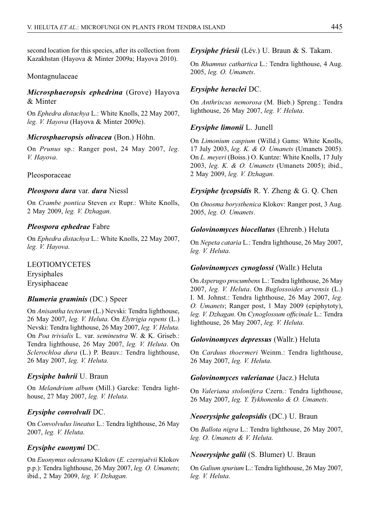second location for this species, after its collection from Kazakhstan (Hayova & Minter 2009a; Hayova 2010).

## Montagnulaceae

# *Microsphaeropsis ephedrina* (Grove) Hayova & Minter

On *Ephedra distachya* L.: White Knolls, 22 May 2007, *leg. V. Hayova* (Hayova & Minter 2009e).

## *Microsphaeropsis olivacea* (Bon.) Höhn.

On *Prunus* sp.: Ranger post, 24 May 2007, *leg. V. Hayova*.

### Pleosporaceae

### *Pleospora dura* var. *dura* Niessl

On *Crambe pontica* Steven *ex* Rupr.: White Knolls, 2 May 2009, *leg. V. Dzhagan*.

## *Pleospora ephedrae* Fabre

On *Ephedra distachya* L.: White Knolls, 22 May 2007, *leg. V. Hayova*.

LEOTIOMYCETES Erysiphales

Erysiphaceae

### *Blumeria graminis* (DC.) Speer

On *Anisantha tectorum* (L.) Nevski: Tendra lighthouse, 26 May 2007, *leg. V. Heluta*. On *Elytrigia repens* (L.) Nevski: Tendra lighthouse, 26 May 2007, *leg. V. Heluta*. On *Poa trivialis* L. var. *semineutra* W. & K. Griseb.: Tendra lighthouse, 26 May 2007, *leg. V. Heluta*. On *Sclerochloa dura* (L.) P. Beauv.: Tendra lighthouse, 26 May 2007, *leg. V. Heluta*.

### *Erysiphe buhrii* U. Braun

On *Melandrium album* (Mill.) Garcke: Tendra lighthouse, 27 May 2007, *leg. V. Heluta*.

### *Erysiphe convolvuli* DC.

On *Convolvulus lineatus* L.: Tendra lighthouse, 26 May 2007, *leg. V. Heluta*.

### *Erysiphe euonymi* DC.

On *Euonymus odessana* Klokov (*E. czernjaëvii* Klokov p.p.): Tendra lighthouse, 26 May 2007, *leg. O. Umanets*; ibid., 2 May 2009, *leg. V. Dzhagan*.

## *Erysiphe friesii* (Lév.) U. Braun & S. Takam.

On *Rhamnus cathartica* L.: Tendra lighthouse, 4 Aug. 2005, *leg. O. Umanets*.

## *Erysiphe heraclei* DC.

On *Anthriscus nemorosa* (M. Bieb.) Spreng.: Tendra lighthouse, 26 May 2007, *leg. V. Heluta*.

## *Erysiphe limonii* L. Junell

On *Limonium caspium* (Willd.) Gams: White Knolls, 17 July 2003, *leg. K. & O. Umanets* (Umanets 2005). On *L. meyeri* (Boiss.) O. Kuntze: White Knolls, 17 July 2003, *leg. K. & O. Umanets* (Umanets 2005); ibid., 2 May 2009, *leg. V. Dzhagan*.

## *Erysiphe lycopsidis* R. Y. Zheng & G. Q. Chen

On *Onosma borysthenica* Klokov: Ranger post, 3 Aug. 2005, *leg. O. Umanets*.

## *Golovinomyces biocellatus* (Ehrenb.) Heluta

On *Nepeta cataria* L.: Tendra lighthouse, 26 May 2007, *leg. V. Heluta*.

### *Golovinomyces cynoglossi* (Wallr.) Heluta

On *Asperugo procumbens* L.: Tendra lighthouse, 26 May 2007, *leg. V. Heluta*. On *Buglossoides arvensis* (L.) I. M. Johnst.: Tendra lighthouse, 26 May 2007, *leg. O. Umanets*; Ranger post, 1 May 2009 (epiphytoty), *leg. V. Dzhagan. On Cynoglossum officinale* L.: Tendra lighthouse, 26 May 2007, *leg. V. Heluta*.

## *Golovinomyces depressus* (Wallr.) Heluta

On *Carduus thoermeri* Weinm.: Tendra lighthouse, 26 May 2007, *leg. V. Heluta*.

### *Golovinomyces valerianae* (Jacz.) Heluta

On *Valeriana stolonifera* Czern.: Tendra lighthouse, 26 May 2007, *leg. Y. Tykhonenko & O. Umanets*.

## *Neoerysiphe galeopsidis* (DC.) U. Braun

On *Ballota nigra* L.: Tendra lighthouse, 26 May 2007, *leg. O. Umanets & V. Heluta*.

### *Neoerysiphe galii* (S. Blumer) U. Braun

On *Galium spurium* L.: Tendra lighthouse, 26 May 2007, *leg. V. Heluta*.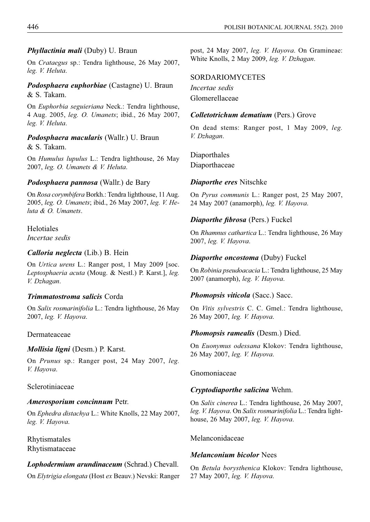## *Phyllactinia mali* (Duby) U. Braun

On *Crataegus* sp.: Tendra lighthouse, 26 May 2007, *leg. V. Heluta*.

## *Podosphaera euphorbiae* (Castagne) U. Braun & S. Takam.

On *Euphorbia seguieriana* Neck.: Tendra lighthouse, 4 Aug. 2005, *leg. O. Umanets*; ibid., 26 May 2007, *leg. V. Heluta*.

# *Podosphaera macularis* (Wallr.) U. Braun & S. Takam.

On *Humulus lupulus* L.: Tendra lighthouse, 26 May 2007, *leg. O. Umanets & V. Heluta*.

## *Podosphaera pannosa* (Wallr.) de Bary

On *Rosa corymbifera* Borkh.: Tendra lighthouse, 11 Aug. 2005, *leg. O. Umanets*; ibid., 26 May 2007, *leg. V. Heluta & O. Umanets*.

Helotiales *Incertae sedis*

## *Calloria neglecta* (Lib.) B. Hein

On *Urtica urens* L.: Ranger post, 1 May 2009 [soc. *Leptosphaeria acuta* (Moug. & Nestl.) P. Karst.], *leg. V. Dzhagan*.

## *Trimmatostroma salicis* Corda

On *Salix rosmarinifolia* L.: Tendra lighthouse, 26 May 2007, *leg. V. Hayova*.

## Dermateaceae

### *Mollisia ligni* (Desm.) P. Karst.

On *Prunus* sp.: Ranger post, 24 May 2007, *leg. V. Hayova*.

## Sclerotiniaceae

### *Amerosporium concinnum* Petr.

On *Ephedra distachya* L.: White Knolls, 22 May 2007, *leg. V. Hayova*.

Rhytismatales Rhytismataceae

# *Lophodermium arundinaceum* (Schrad.) Chevall.

On *Elytrigia elongata* (Host *ex* Beauv.) Nevski: Ranger

post, 24 May 2007, *leg. V. Hayova*. On Gramineae: White Knolls, 2 May 2009, *leg. V. Dzhagan*.

## SORDARIOMYCETES

*Incertae sedis* Glomerellaceae

## *Colletotrichum dematium* (Pers.) Grove

On dead stems: Ranger post, 1 May 2009, *leg. V. Dzhagan*.

Diaporthales Diaporthaceae

## *Diaporthe eres* Nitschke

On *Pyrus communis* L.: Ranger post, 25 May 2007, 24 May 2007 (anamorph), *leg. V. Hayova*.

## *Diaporthe fibrosa* (Pers.) Fuckel

On *Rhamnus cathartica* L.: Tendra lighthouse, 26 May 2007, *leg. V. Hayova*.

## *Diaporthe oncostoma* (Duby) Fuckel

On *Robinia pseudoacacia* L.: Tendra lighthouse, 25 May 2007 (anamorph), *leg. V. Hayova*.

### *Phomopsis viticola* (Sacc.) Sacc.

On *Vitis sylvestris* C. C. Gmel.: Tendra lighthouse, 26 May 2007, *leg. V. Hayova*.

### *Phomopsis ramealis* (Desm.) Died.

On *Euonymus odessana* Klokov: Tendra lighthouse, 26 May 2007, *leg. V. Hayova*.

## Gnomoniaceae

### *Cryptodiaporthe salicina* Wehm.

On *Salix cinerea* L.: Tendra lighthouse, 26 May 2007, *leg. V. Hayova*. On *Salix rosmarinifolia* L.: Tendra lighthouse, 26 May 2007, *leg. V. Hayova*.

## Melanconidaceae

### *Melanconium bicolor* Nees

On *Betula borysthenica* Klokov: Tendra lighthouse, 27 May 2007, *leg. V. Hayova*.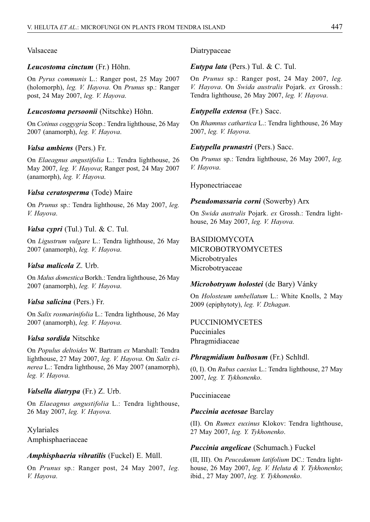# Valsaceae

## *Leucostoma cinctum* (Fr.) Höhn.

On *Pyrus communis* L.: Ranger post, 25 May 2007 (holomorph), *leg. V. Hayova*. On *Prunus* sp.: Ranger post, 24 May 2007, *leg. V. Hayova*.

## *Leucostoma persoonii* (Nitschke) Höhn.

On *Cotinus coggygria* Scop.: Tendra lighthouse, 26 May 2007 (anamorph), *leg. V. Hayova*.

## *Valsa ambiens* (Pers.) Fr.

On *Elaeagnus angustifolia* L.: Tendra lighthouse, 26 May 2007, *leg. V. Hayova*; Ranger post, 24 May 2007 (anamorph), *leg. V. Hayova*.

## *Valsa ceratosperma* (Tode) Maire

On *Prunus* sp.: Tendra lighthouse, 26 May 2007, *leg. V. Hayova*.

## *Valsa cypri* (Tul.) Tul. & C. Tul.

On *Ligustrum vulgare* L.: Tendra lighthouse, 26 May 2007 (anamorph), *leg. V. Hayova*.

## *Valsa malicola* Z. Urb.

On *Malus domestica* Borkh.: Tendra lighthouse, 26 May 2007 (anamorph), *leg. V. Hayova*.

## *Valsa salicina* (Pers.) Fr.

On *Salix rosmarinifolia* L.: Tendra lighthouse, 26 May 2007 (anamorph), *leg. V. Hayova*.

## *Valsa sordida* Nitschke

On *Populus deltoides* W. Bartram *ex* Marshall: Tendra lighthouse, 27 May 2007, *leg. V. Hayova*. On *Salix cinerea* L.: Tendra lighthouse, 26 May 2007 (anamorph), *leg. V. Hayova*.

## *Valsella diatrypa* (Fr.) Z. Urb.

On *Elaeagnus angustifolia* L.: Tendra lighthouse, 26 May 2007, *leg. V. Hayova*.

Xylariales Amphisphaeriaceae

## *Amphisphaeria vibratilis* (Fuckel) E. Müll.

On *Prunus* sp.: Ranger post, 24 May 2007, *leg. V. Hayova*.

## Diatrypaceae

## *Eutypa lata* (Pers.) Tul. & C. Tul.

On *Prunus* sp.: Ranger post, 24 May 2007, *leg. V. Hayova*. On *Swida australis* Pojark. *ex* Grossh.: Tendra lighthouse, 26 May 2007, *leg. V. Hayova*.

## *Eutypella extensa* (Fr.) Sacc.

On *Rhamnus cathartica* L.: Tendra lighthouse, 26 May 2007, *leg. V. Hayova*.

## *Eutypella prunastri* (Pers.) Sacc.

On *Prunus* sp.: Tendra lighthouse, 26 May 2007, *leg. V. Hayova*.

Hyponectriaceae

## *Pseudomassaria corni* (Sowerby) Arx

On *Swida australis* Pojark. *ex* Grossh.: Tendra lighthouse, 26 May 2007, *leg. V. Hayova*.

# BASIDIOMYCOTA

MICROBOTRYOMYCETES Microbotryales Microbotryaceae

## *Microbotryum holostei* (de Bary) Vánky

On *Holosteum umbellatum* L.: White Knolls, 2 May 2009 (epiphytoty), *leg. V. Dzhagan*.

PUCCINIOMYCETES Pucciniales Phragmidiaceae

### *Phragmidium bulbosum* (Fr.) Schltdl.

(0, I). On *Rubus caesius* L.: Tendra lighthouse, 27 May 2007, *leg. Y. Tykhonenko*.

Pucciniaceae

### *Puccinia acetosae* Barclay

(II). On *Rumex euxinus* Klokov: Tendra lighthouse, 27 May 2007, *leg. Y. Tykhonenko*.

### *Puccinia angelicae* (Schumach.) Fuckel

(II, III). On *Peucedanum latifolium* DC.: Tendra lighthouse, 26 May 2007, *leg. V. Heluta & Y. Tykhonenko*; ibid., 27 May 2007, *leg. Y. Tykhonenko*.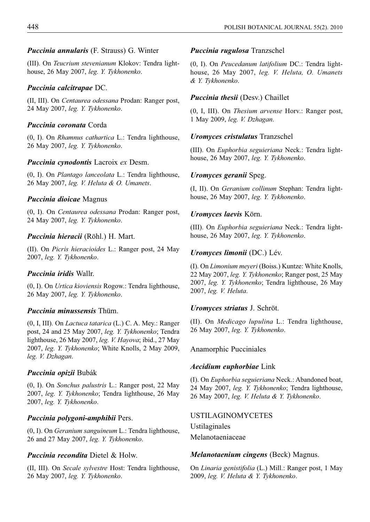## *Puccinia annularis* (F. Strauss) G. Winter

(III). On *Teucrium stevenianum* Klokov: Tendra lighthouse, 26 May 2007, *leg. Y. Tykhonenko*.

### *Puccinia calcitrapae* DC.

(II, III). On *Centaurea odessana* Prodan: Ranger post, 24 May 2007, *leg. Y. Tykhonenko*.

### *Puccinia coronata* Corda

(0, I). On *Rhamnus cathartica* L.: Tendra lighthouse, 26 May 2007, *leg. Y. Tykhonenko*.

## *Puccinia cynodontis* Lacroix *ex* Desm.

(0, I). On *Plantago lanceolata* L.: Tendra lighthouse, 26 May 2007, *leg. V. Heluta & O. Umanets*.

### *Puccinia dioicae* Magnus

(0, I). On *Centaurea odessana* Prodan: Ranger post, 24 May 2007, *leg. Y. Tykhonenko*.

### *Puccinia hieracii* (Röhl.) H. Mart.

(II). On *Picris hieracioides* L.: Ranger post, 24 May 2007, *leg. Y. Tykhonenko*.

### *Puccinia iridis* Wallr.

(0, I). On *Urtica kioviensis* Rogow.: Tendra lighthouse, 26 May 2007, *leg. Y. Tykhonenko*.

# *Puccinia minussensis* Thüm.

(0, I, III). On *Lactuca tatarica* (L.) C. A. Mey.: Ranger post, 24 and 25 May 2007, *leg. Y. Tykhonenko*; Tendra lighthouse, 26 May 2007, *leg. V. Hayova*; ibid., 27 May 2007, *leg. Y. Tykhonenko*; White Knolls, 2 May 2009, *leg. V. Dzhagan*.

### *Puccinia opizii* Bubák

(0, I). On *Sonchus palustris* L.: Ranger post, 22 May 2007, *leg. Y. Tykhonenko*; Tendra lighthouse, 26 May 2007, *leg. Y. Tykhonenko*.

### *Puccinia polygoni-amphibii* Pers.

(0, I). On *Geranium sanguineum* L.: Tendra lighthouse, 26 and 27 May 2007, *leg. Y. Tykhonenko*.

### *Puccinia recondita* Dietel & Holw.

(II, III). On *Secale sylvestre* Host: Tendra lighthouse, 26 May 2007, *leg. Y. Tykhonenko*.

### *Puccinia rugulosa* Tranzschel

(0, I). On *Peucedanum latifolium* DC.: Tendra lighthouse, 26 May 2007, *leg. V. Heluta, O. Umanets & Y. Tykhonenko*.

## *Puccinia thesii* (Desv.) Chaillet

(0, I, III). On *Thesium arvense* Horv.: Ranger post, 1 May 2009, *leg. V. Dzhagan*.

### *Uromyces cristulatus* Tranzschel

(III). On *Euphorbia seguieriana* Neck.: Tendra lighthouse, 26 May 2007, *leg. Y. Tykhonenko*.

### *Uromyces geranii* Speg.

(I, II). On *Geranium collinum* Stephan: Tendra lighthouse, 26 May 2007, *leg. Y. Tykhonenko*.

## *Uromyces laevis* Körn.

(III). On *Euphorbia seguieriana* Neck.: Tendra lighthouse, 26 May 2007, *leg. Y. Tykhonenko*.

### *Uromyces limonii* (DC.) Lév.

(I). On *Limonium meyeri* (Boiss.) Kuntze: White Knolls, 22 May 2007, *leg. Y. Tykhonenko*; Ranger post, 25 May 2007, *leg. Y. Tykhonenko*; Tendra lighthouse, 26 May 2007, *leg. V. Heluta*.

### *Uromyces striatus* J. Schröt.

(II). On *Medicago lupulina* L.: Tendra lighthouse, 26 May 2007, *leg. Y. Tykhonenko*.

Anamorphic Pucciniales

### *Aecidium euphorbiae* Link

(I). On *Euphorbia seguieriana* Neck.: Abandoned boat, 24 May 2007, *leg. Y. Tykhonenko*; Tendra lighthouse, 26 May 2007, *leg. V. Heluta & Y. Tykhonenko*.

#### USTILAGINOMYCETES

Ustilaginales Melanotaeniaceae

### *Melanotaenium cingens* (Beck) Magnus.

On *Linaria genistifolia* (L.) Mill.: Ranger post, 1 May 2009, *leg. V. Heluta & Y. Tykhonenko*.